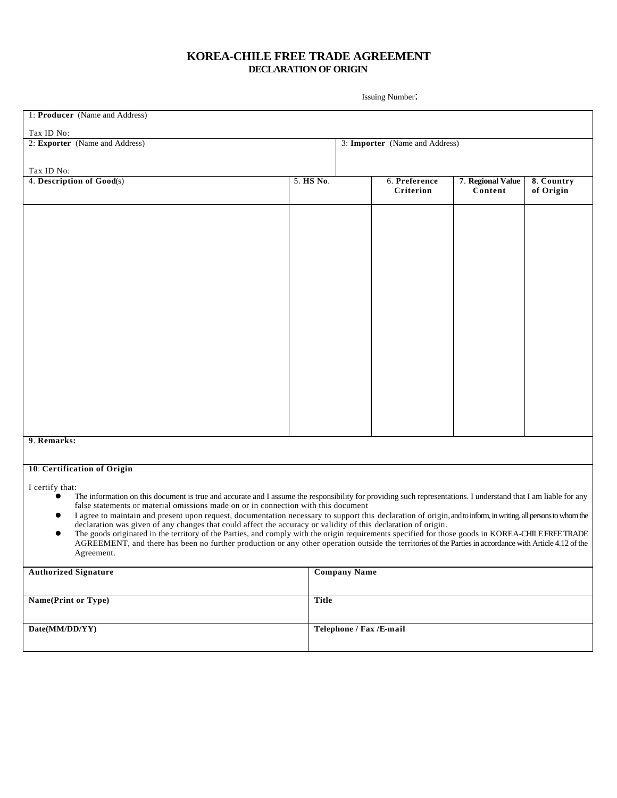## **KOREA-CHILE FREE TRADE AGREEMENT DECLARATION OF ORIGIN**

Issuing Number:

| 1: Producer (Name and Address)                                                                                                                                                                                                                                                                 |              |                                |               |                   |            |
|------------------------------------------------------------------------------------------------------------------------------------------------------------------------------------------------------------------------------------------------------------------------------------------------|--------------|--------------------------------|---------------|-------------------|------------|
| Tax ID No:                                                                                                                                                                                                                                                                                     |              |                                |               |                   |            |
| 2: Exporter (Name and Address)                                                                                                                                                                                                                                                                 |              | 3: Importer (Name and Address) |               |                   |            |
|                                                                                                                                                                                                                                                                                                |              |                                |               |                   |            |
| Tax ID No:                                                                                                                                                                                                                                                                                     |              |                                |               |                   |            |
| 4. Description of Good(s)                                                                                                                                                                                                                                                                      | 5. HS No.    |                                | 6. Preference | 7. Regional Value | 8. Country |
|                                                                                                                                                                                                                                                                                                |              |                                | Criterion     | Content           | of Origin  |
|                                                                                                                                                                                                                                                                                                |              |                                |               |                   |            |
|                                                                                                                                                                                                                                                                                                |              |                                |               |                   |            |
|                                                                                                                                                                                                                                                                                                |              |                                |               |                   |            |
|                                                                                                                                                                                                                                                                                                |              |                                |               |                   |            |
|                                                                                                                                                                                                                                                                                                |              |                                |               |                   |            |
|                                                                                                                                                                                                                                                                                                |              |                                |               |                   |            |
|                                                                                                                                                                                                                                                                                                |              |                                |               |                   |            |
|                                                                                                                                                                                                                                                                                                |              |                                |               |                   |            |
|                                                                                                                                                                                                                                                                                                |              |                                |               |                   |            |
|                                                                                                                                                                                                                                                                                                |              |                                |               |                   |            |
|                                                                                                                                                                                                                                                                                                |              |                                |               |                   |            |
|                                                                                                                                                                                                                                                                                                |              |                                |               |                   |            |
|                                                                                                                                                                                                                                                                                                |              |                                |               |                   |            |
|                                                                                                                                                                                                                                                                                                |              |                                |               |                   |            |
|                                                                                                                                                                                                                                                                                                |              |                                |               |                   |            |
|                                                                                                                                                                                                                                                                                                |              |                                |               |                   |            |
|                                                                                                                                                                                                                                                                                                |              |                                |               |                   |            |
|                                                                                                                                                                                                                                                                                                |              |                                |               |                   |            |
|                                                                                                                                                                                                                                                                                                |              |                                |               |                   |            |
|                                                                                                                                                                                                                                                                                                |              |                                |               |                   |            |
| 9. Remarks:                                                                                                                                                                                                                                                                                    |              |                                |               |                   |            |
|                                                                                                                                                                                                                                                                                                |              |                                |               |                   |            |
|                                                                                                                                                                                                                                                                                                |              |                                |               |                   |            |
| 10: Certification of Origin                                                                                                                                                                                                                                                                    |              |                                |               |                   |            |
| I certify that:                                                                                                                                                                                                                                                                                |              |                                |               |                   |            |
| The information on this document is true and accurate and I assume the responsibility for providing such representations. I understand that I am liable for any<br>$\bullet$                                                                                                                   |              |                                |               |                   |            |
| false statements or material omissions made on or in connection with this document                                                                                                                                                                                                             |              |                                |               |                   |            |
| I agree to maintain and present upon request, documentation necessary to support this declaration of origin, and to inform, in writing, all persons to whom the<br>$\bullet$<br>declaration was given of any changes that could affect the accuracy or validity of this declaration of origin. |              |                                |               |                   |            |
| The goods originated in the territory of the Parties, and comply with the origin requirements specified for those goods in KOREA-CHILE FREE TRADE<br>$\bullet$                                                                                                                                 |              |                                |               |                   |            |
| AGREEMENT, and there has been no further production or any other operation outside the territories of the Parties in accordance with Article 4.12 of the                                                                                                                                       |              |                                |               |                   |            |
| Agreement.                                                                                                                                                                                                                                                                                     |              |                                |               |                   |            |
| <b>Authorized Signature</b>                                                                                                                                                                                                                                                                    |              | <b>Company Name</b>            |               |                   |            |
|                                                                                                                                                                                                                                                                                                |              |                                |               |                   |            |
|                                                                                                                                                                                                                                                                                                |              |                                |               |                   |            |
| Name(Print or Type)                                                                                                                                                                                                                                                                            | <b>Title</b> |                                |               |                   |            |
|                                                                                                                                                                                                                                                                                                |              |                                |               |                   |            |
| Date(MM/DD/YY)                                                                                                                                                                                                                                                                                 |              | Telephone / Fax /E-mail        |               |                   |            |